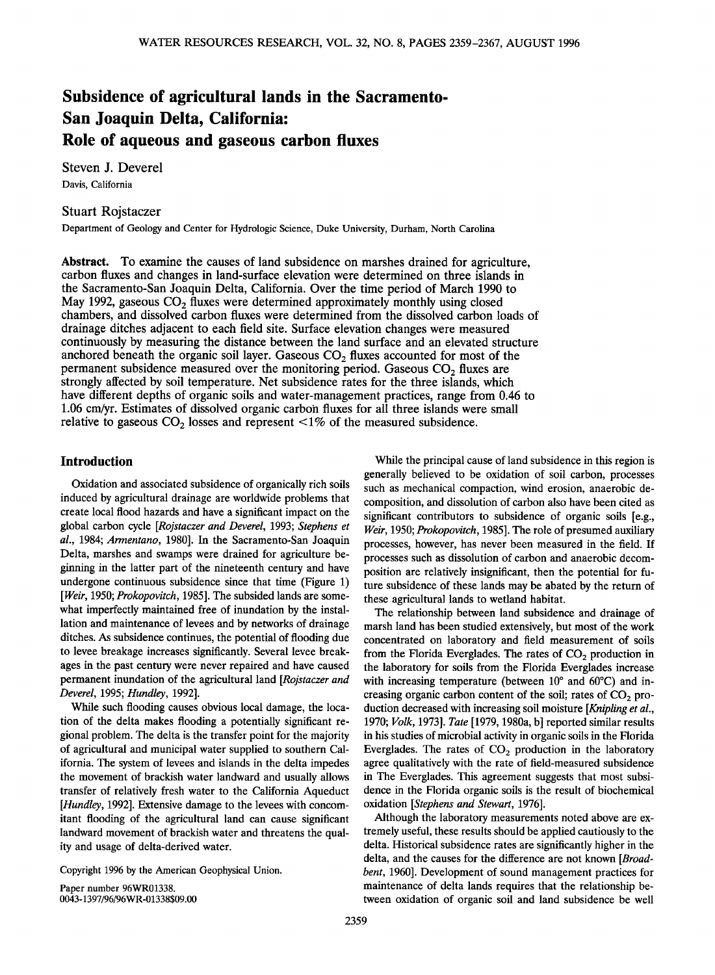# **Subsidence of agricultural lands in the Sacramento-San Joaquin Delta, California: Role of aqueous and gaseous carbon fluxes**

**Steven J. Deverel Davis, California** 

## **Stuart Rojstaczer**

**Department of Geology and Center for Hydrologic Science, Duke University, Durham, North Carolina** 

**Abstract. To examine the causes of land subsidence on marshes drained for agriculture, carbon fluxes and changes in land-surface elevation were determined on three islands in the Sacramento-San Joaquin Delta, California. Over the time period of March 1990 to**  May 1992, gaseous CO<sub>2</sub> fluxes were determined approximately monthly using closed **chambers, and dissolved carbon fluxes were determined from the dissolved carbon loads of**  drainage ditches adjacent to each field site. Surface elevation changes were measured **continuously by measuring the distance between the land surface and an elevated structure**  anchored beneath the organic soil layer. Gaseous  $CO<sub>2</sub>$  fluxes accounted for most of the **permanent subsidence measured over the monitoring period. Gaseous CO<sub>2</sub> fluxes are strongly affected by soil temperature. Net subsidence rates for the three islands, which have different depths of organic soils and water-management practices, range from 0.46 to 1.06 cm/yr. Estimates of dissolved organic carbon fluxes for all three islands were small**  relative to gaseous  $CO<sub>2</sub>$  losses and represent  $\leq 1\%$  of the measured subsidence.

### **Introduction**

**Oxidation and associated subsidence of organically rich soils induced by agricultural drainage are worldwide problems that create local flood hazards and have a significant impact on the global carbon cycle [Rojstaczer and Deverel, 1993; Stephens et al., 1984; Armentano, 1980]. In the Sacramento-San Joaquin Delta, marshes and swamps were drained for agriculture beginning in the latter part of the nineteenth century and have undergone continuous subsidence since that time (Figure 1) [Weir, 1950; Prokopovitch, 1985]. The subsided lands are somewhat imperfectly maintained free of inundation by the installation and maintenance of levees and by networks of drainage ditches. As subsidence continues, the potential of flooding due to levee breakage increases significantly. Several levee breakages in the past century were never repaired and have caused**  permanent inundation of the agricultural land [Rojstaczer and **Deverel, 1995; Hundley, 1992].** 

**While such flooding causes obvious local damage, the location of the delta makes flooding a potentially significant regional problem. The delta is the transfer point for the majority of agricultural and municipal water supplied to southern California. The system of levees and islands in the delta impedes the movement of brackish water landward and usually allows transfer of relatively fresh water to the California Aqueduct [Hundley, 1992]. Extensive damage to the levees with concomitant flooding of the agricultural land can cause significant landward movement of brackish water and threatens the quality and usage of delta-derived water.** 

**Copyright 1996 by the American Geophysical Union.** 

**Paper number 96WR01338. 0043-1397/96/96WR-01338509.00** 

**While the principal cause of land subsidence in this region is generally believed to be oxidation of soil carbon, processes such as mechanical compaction, wind erosion, anaerobic decomposition, and dissolution of carbon also have been cited as significant contributors to subsidence of organic soils [e.g., Weir, 1950; Prokopovitch, 1985]. The role of presumed auxiliary processes, however, has never been measured in the field. If processes such as dissolution of carbon and anaerobic decomposition are relatively insignificant, then the potential for future subsidence of these lands may be abated by the return of these agricultural lands to wetland habitat.** 

**The relationship between land subsidence and drainage of marsh land has been studied extensively, but most of the work concentrated on laboratory and field measurement of soils**  from the Florida Everglades. The rates of CO<sub>2</sub> production in **the laboratory for soils from the Florida Everglades increase**  with increasing temperature (between 10° and 60°C) and increasing organic carbon content of the soil; rates of CO<sub>2</sub> pro**duction decreased with increasing soil moisture [Knipling et al., 1970; Volk, 1973]. Tate [1979, 1980a, b] reported similar results in his studies of microbial activity in organic soils in the Florida**  Everglades. The rates of  $CO<sub>2</sub>$  production in the laboratory **agree qualitatively with the rate of field-measured subsidence in The Everglades. This agreement suggests that most subsidence in the Florida organic soils is the result of biochemical oxidation [Stephens and Stewart, 1976].** 

**Although the laboratory measurements noted above are extremely useful, these results should be applied cautiously to the delta. Historical subsidence rates are significantly higher in the delta, and the causes for the difference are not known [Broadbent, 1960]. Development of sound management practices for maintenance of delta lands requires that the relationship between oxidation of organic soil and land subsidence be well**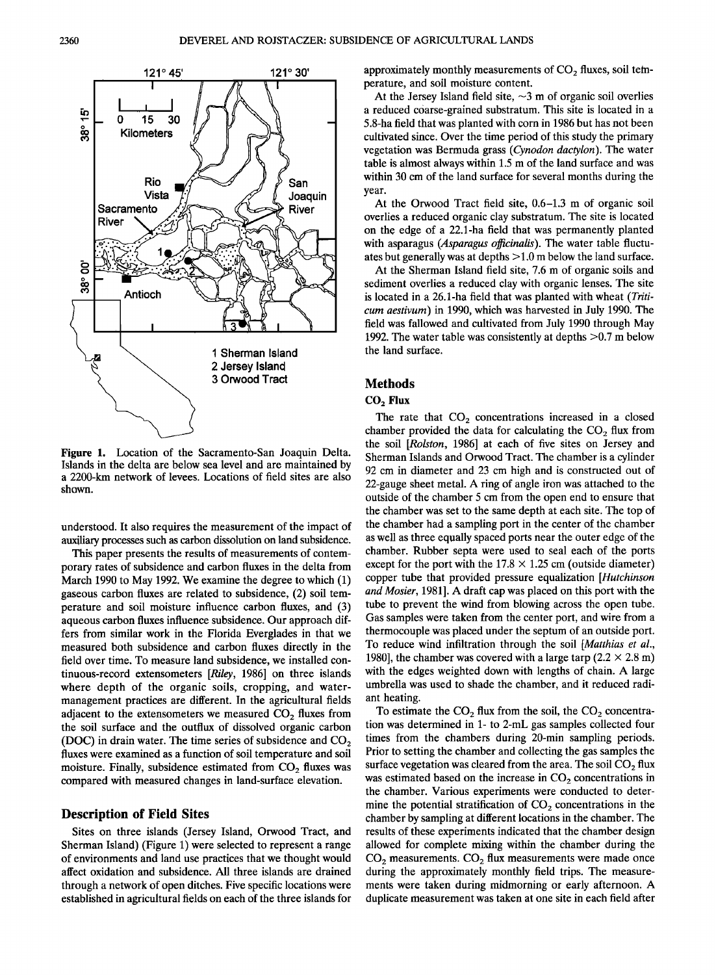

**Figure 1. Location of the Sacramento-San Joaquin Delta. Islands in the delta are below sea level and are maintained by a 2200-km network of levees. Locations of field sites are also shown.** 

**understood. It also requires the measurement of the impact of auxiliary processes such as carbon dissolution on land subsidence.** 

**This paper presents the results of measurements of contemporary rates of subsidence and carbon fluxes in the delta from March 1990 to May 1992. We examine the degree to which (1) gaseous carbon fluxes are related to subsidence, (2) soil temperature and soil moisture influence carbon fluxes, and (3) aqueous carbon fluxes influence subsidence. Our approach differs from similar work in the Florida Everglades in that we measured both subsidence and carbon fluxes directly in the field over time. To measure land subsidence, we installed continuous-record extensometers [Riley, 1986] on three islands where depth of the organic soils, cropping, and watermanagement practices are different. In the agricultural fields**  adjacent to the extensometers we measured CO<sub>2</sub> fluxes from **the soil surface and the outflux of dissolved organic carbon (DOC)** in drain water. The time series of subsidence and CO<sub>2</sub> **fluxes were examined as a function of soil temperature and soil**  moisture. Finally, subsidence estimated from CO<sub>2</sub> fluxes was **compared with measured changes in land-surface elevation.** 

### **Description of Field Sites**

**Sites on three islands (Jersey Island, Orwood Tract, and Sherman Island) (Figure 1) were selected to represent a range of environments and land use practices that we thought would affect oxidation and subsidence. All three islands are drained through a network of open ditches. Five specific locations were established in agricultural fields on each of the three islands for**  approximately monthly measurements of CO<sub>2</sub> fluxes, soil tem**perature, and soil moisture content.** 

At the Jersey Island field site,  $\sim$ 3 m of organic soil overlies **a reduced coarse-grained substratum. This site is located in a 5.8-ha field that was planted with corn in 1986 but has not been cultivated since. Over the time period of this study the primary vegetation was Bermuda grass (Cynodon dactylon). The water table is almost always within 1.5 m of the land surface and was within 30 cm of the land surface for several months during the year.** 

**At the Orwood Tract field site, 0.6-1.3 m of organic soil overlies a reduced organic clay substratum. The site is located on the edge of a 22.1-ha field that was permanently planted with asparagus (Asparagus officinalis). The water table fluctuates but generally was at depths > 1.0 m below the land surface.** 

**At the Sherman Island field site, 7.6 m of organic soils and sediment overlies a reduced clay with organic lenses. The site is located in a 26.1-ha field that was planted with wheat (Triticum aestivum) in 1990, which was harvested in July 1990. The field was fallowed and cultivated from July 1990 through May 1992. The water table was consistently at depths >0.7 m below the land surface.** 

### **Methods**

### **COz Flux**

The rate that  $CO<sub>2</sub>$  concentrations increased in a closed chamber provided the data for calculating the  $CO<sub>2</sub>$  flux from **the soil [Rolston, 1986] at each of five sites on Jersey and Sherman Islands and Orwood Tract. The chamber is a cylinder 92 cm in diameter and 23 cm high and is constructed out of 22-gauge sheet metal. A ring of angle iron was attached to the outside of the chamber 5 cm from the open end to ensure that the chamber was set to the same depth at each site. The top of the chamber had a sampling port in the center of the chamber as well as three equally spaced ports near the outer edge of the chamber. Rubber septa were used to seal each of the ports**  except for the port with the  $17.8 \times 1.25$  cm (outside diameter) **copper tube that provided pressure equalization [Hutchinson and Mosier, 1981]. A draft cap was placed on this port with the tube to prevent the wind from blowing across the open tube. Gas samples were taken from the center port, and wire from a thermocouple was placed under the septum of an outside port. To reduce wind infiltration through the soil [Matthias et al.,**  1980], the chamber was covered with a large tarp  $(2.2 \times 2.8 \text{ m})$ **with the edges weighted down with lengths of chain. A large umbrella was used to shade the chamber, and it reduced radiant heating.** 

To estimate the  $CO<sub>2</sub>$  flux from the soil, the  $CO<sub>2</sub>$  concentra**tion was determined in 1- to 2-mL gas samples collected four times from the chambers during 20-min sampling periods. Prior to setting the chamber and collecting the gas samples the**  surface vegetation was cleared from the area. The soil CO<sub>2</sub> flux was estimated based on the increase in CO<sub>2</sub> concentrations in **the chamber. Various experiments were conducted to deter**mine the potential stratification of CO<sub>2</sub> concentrations in the **chamber by sampling at different locations in the chamber. The results of these experiments indicated that the chamber design allowed for complete mixing within the chamber during the**  CO<sub>2</sub> measurements. CO<sub>2</sub> flux measurements were made once **during the approximately monthly field trips. The measurements were taken during midmorning or early afternoon. A duplicate measurement was taken at one site in each field after**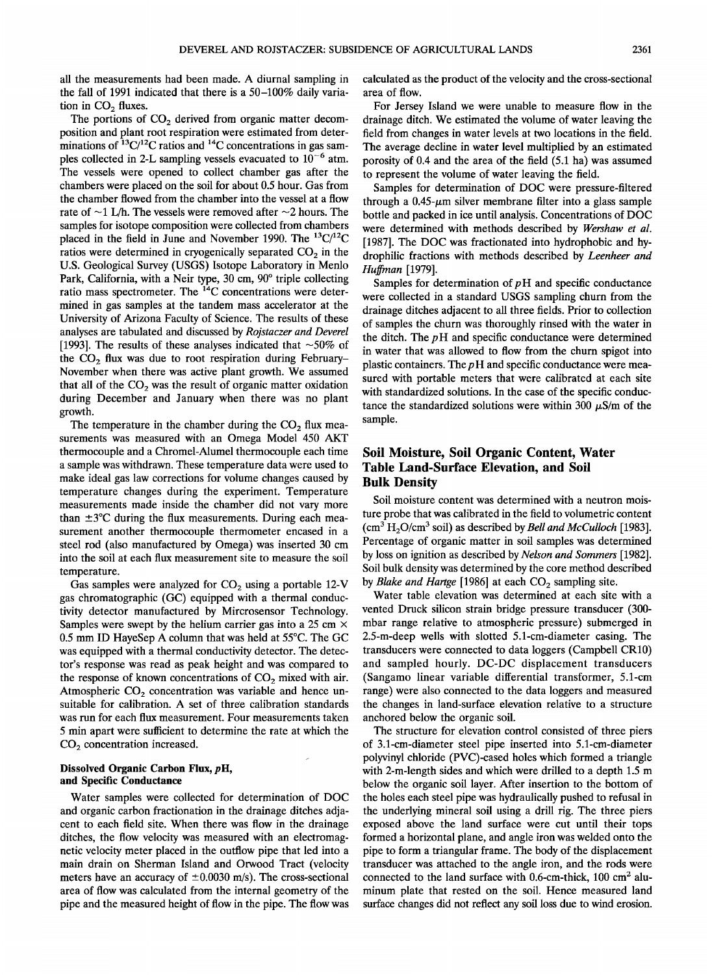**all the measurements had been made. A diurnal sampling in the fall of 1991 indicated that there is a 50-100% daily varia**tion in  $CO<sub>2</sub>$  fluxes.

The portions of CO<sub>2</sub> derived from organic matter decom**position and plant root respiration were estimated from deter**minations of <sup>13</sup>C/<sup>12</sup>C ratios and <sup>14</sup>C concentrations in gas samples collected in 2-L sampling vessels evacuated to  $10^{-6}$  atm. **The vessels were opened to collect chamber gas after the chambers were placed on the soil for about 0.5 hour. Gas from the chamber flowed from the chamber into the vessel at a flow**  rate of  $\sim$ 1 L/h. The vessels were removed after  $\sim$ 2 hours. The **samples for isotope composition were collected from chambers**  placed in the field in June and November 1990. The <sup>13</sup>C/<sup>12</sup>C ratios were determined in cryogenically separated CO<sub>2</sub> in the **U.S. Geological Survey (USGS) Isotope Laboratory in Menlo**  Park, California, with a Neir type, 30 cm, 90° triple collecting ratio mass spectrometer. The <sup>14</sup>C concentrations were deter**mined in gas samples at the tandem mass accelerator at the University of Arizona Faculty of Science. The results of these analyses are tabulated and discussed by Rojstaczer and Deverel**  [1993]. The results of these analyses indicated that  $\sim$ 50% of the CO<sub>2</sub> flux was due to root respiration during February– **November when there was active plant growth. We assumed**  that all of the  $CO<sub>2</sub>$  was the result of organic matter oxidation **during December and January when there was no plant growth.** 

The temperature in the chamber during the CO<sub>2</sub> flux mea**surements was measured with an Omega Model 450 AKT thermocouple and a Chromel-Alumel thermocouple each time a sample was withdrawn. These temperature data were used to make ideal gas law corrections for volume changes caused by temperature changes during the experiment. Temperature measurements made inside the chamber did not vary more**  than  $\pm 3^{\circ}$ C during the flux measurements. During each mea**surement another thermocouple thermometer encased in a steel rod (also manufactured by Omega) was inserted 30 cm into the soil at each flux measurement site to measure the soil temperature.** 

Gas samples were analyzed for CO<sub>2</sub> using a portable 12-V **gas chromatographic (GC) equipped with a thermal conductivity detector manufactured by Mircrosensor Technology. Samples were swept by the helium carrier gas into a 25 cm x 0.5 mm ID HayeSep A column that was held at 55øC. The GC was equipped with a thermal conductivity detector. The detector's response was read as peak height and was compared to**  the response of known concentrations of CO<sub>2</sub> mixed with air. Atmospheric CO<sub>2</sub> concentration was variable and hence un**suitable for calibration. A set of three calibration standards was run for each flux measurement. Four measurements taken**  5 min apart were sufficient to determine the rate at which the **CO2 concentration increased.** 

### **Dissolved Organic Carbon Flux, pH, and Specific Conductance**

**Water samples were collected for determination of DOC and organic carbon fractionation in the drainage ditches adjacent to each field site. When there was flow in the drainage ditches, the flow velocity was measured with an electromagnetic velocity meter placed in the outflow pipe that led into a main drain on Sherman Island and Orwood Tract (velocity**  meters have an accuracy of  $\pm 0.0030$  m/s). The cross-sectional **area of flow was calculated from the internal geometry of the pipe and the measured height of flow in the pipe. The flow was**  **calculated as the product of the velocity and the cross-sectional area of flow.** 

**For Jersey Island we were unable to measure flow in the drainage ditch. We estimated the volume of water leaving the field from changes in water levels at two locations in the field. The average decline in water level multiplied by an estimated porosity of 0.4 and the area of the field (5.1 ha) was assumed to represent the volume of water leaving the field.** 

**Samples for determination of DOC were pressure-filtered**  through a  $0.45$ - $\mu$ m silver membrane filter into a glass sample **bottle and packed in ice until analysis. Concentrations of DOC were determined with methods described by Wershaw et al. [1987]. The DOC was fractionated into hydrophobic and hydrophilic fractions with methods described by Leenheer and Huffman [1979].** 

Samples for determination of  $p$ H and specific conductance **were collected in a standard USGS sampling churn from the drainage ditches adjacent to all three fields. Prior to collection of samples the churn was thoroughly rinsed with the water in the ditch. The p H and specific conductance were determined in water that was allowed to flow from the churn spigot into**  plastic containers. The pH and specific conductance were mea**sured with portable meters that were calibrated at each site with standardized solutions. In the case of the specific conduc**tance the standardized solutions were within 300  $\mu$ S/m of the **sample.** 

# **Soil Moisture, Soil Organic Content, Water Table Land-Surface Elevation, and Soil Bulk Density**

**Soil moisture content was determined with a neutron moisture probe that was calibrated in the field to volumetric content**  (cm<sup>3</sup> H<sub>2</sub>O/cm<sup>3</sup> soil) as described by *Bell and McCulloch* [1983]. **Percentage of organic matter in soil samples was determined by loss on ignition as described by Nelson and Sommers [1982]. Soil bulk density was determined by the core method described**  by *Blake and Hartge* [1986] at each CO<sub>2</sub> sampling site.

**Water table elevation was determined at each site with a vented Druck silicon strain bridge pressure transducer (300 mbar range relative to atmospheric pressure) submerged in 2.5-m-deep wells with slotted 5.1-cm-diameter casing. The transducers were connected to data loggers (Campbell CR10) and sampled hourly. DC-DC displacement transducers (Sangarno linear variable differential transformer, 5.1-cm range) were also connected to the data loggers and measured the changes in land-surface elevation relative to a structure anchored below the organic soil.** 

**The structure for elevation control consisted of three piers of 3.1-cm-diameter steel pipe inserted into 5.1-cm-diameter polyvinyl chloride (PVC)-cased holes which formed a triangle with 2-m-length sides and which were drilled to a depth 1.5 m below the organic soil layer. After insertion to the bottom of the holes each steel pipe was hydraulically pushed to refusal in the underlying mineral soil using a drill rig. The three piers exposed above the land surface were cut until their tops formed a horizontal plane, and angle iron was welded onto the pipe to form a triangular frame. The body of the displacement transducer was attached to the angle iron, and the rods were**  connected to the land surface with 0.6-cm-thick, 100 cm<sup>2</sup> alu**minum plate that rested on the soil. Hence measured land surface changes did not reflect any soil loss due to wind erosion.**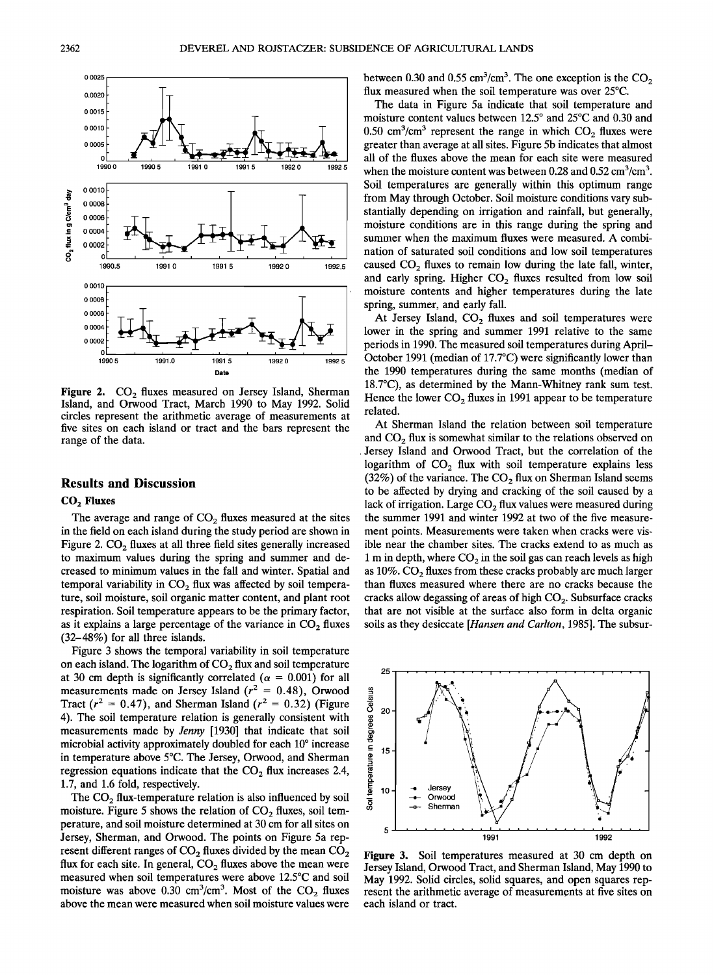

**i I** 

**1990.5 1991.0 1991.5 1992.0 1992.1** 

**991.0 1991.5 1992.0 1992.5** 

### **Results and Discussion**

#### **COz Fluxes**

The average and range of CO<sub>2</sub> fluxes measured at the sites **in the field on each island during the study period are shown in**  Figure 2. CO<sub>2</sub> fluxes at all three field sites generally increased **to maximum values during the spring and summer and decreased to minimum values in the fall and winter. Spatial and**  temporal variability in CO<sub>2</sub> flux was affected by soil tempera**ture, soil moisture, soil organic matter content, and plant root respiration. Soil temperature appears to be the primary factor,**  as it explains a large percentage of the variance in CO<sub>2</sub> fluxes **(32-48%) for all three islands.** 

**Figure 3 shows the temporal variability in soil temperature**  on each island. The logarithm of CO<sub>2</sub> flux and soil temperature at 30 cm depth is significantly correlated ( $\alpha$  = 0.001) for all measurements made on Jersey Island  $(r^2 = 0.48)$ , Orwood Tract ( $r^2 = 0.47$ ), and Sherman Island ( $r^2 = 0.32$ ) (Figure **4). The soil temperature relation is generally consistent with measurements made by Jenny [1930] that indicate that soil**  microbial activity approximately doubled for each 10<sup>°</sup> increase **in temperature above 5øC. The Jersey, Orwood, and Sherman**  regression equations indicate that the CO<sub>2</sub> flux increases 2.4, **1.7, and 1.6 fold, respectively.** 

The CO<sub>2</sub> flux-temperature relation is also influenced by soil moisture. Figure 5 shows the relation of CO<sub>2</sub> fluxes, soil tem**perature, and soil moisture determined at 30 cm for all sites on Jersey, Sherman, and Orwood. The points on Figure 5a rep**resent different ranges of CO<sub>2</sub> fluxes divided by the mean CO<sub>2</sub> flux for each site. In general, CO<sub>2</sub> fluxes above the mean were **measured when soil temperatures were above 12.5øC and soil**  moisture was above 0.30 cm<sup>3</sup>/cm<sup>3</sup>. Most of the CO<sub>2</sub> fluxes **above the mean were measured when soil moisture values were**  between 0.30 and 0.55  $\text{cm}^3/\text{cm}^3$ . The one exception is the CO<sub>2</sub> flux measured when the soil temperature was over 25°C.

**The data in Figure 5a indicate that soil temperature and**  moisture content values between 12.5° and 25°C and 0.30 and  $0.50 \text{ cm}^3/\text{cm}^3$  represent the range in which  $CO<sub>2</sub>$  fluxes were **greater than average at all sites. Figure 5b indicates that almost all of the fluxes above the mean for each site were measured**  when the moisture content was between 0.28 and 0.52 cm<sup>3</sup>/cm<sup>3</sup>. **Soil temperatures are generally within this optimum range from May through October. Soil moisture conditions vary substantially depending on irrigation and rainfall, but generally, moisture conditions are in this range during the spring and summer when the maximum fluxes were measured. A combination of saturated soil conditions and low soil temperatures**  caused CO<sub>2</sub> fluxes to remain low during the late fall, winter, and early spring. Higher CO<sub>2</sub> fluxes resulted from low soil **moisture contents and higher temperatures during the late spring, summer, and early fall.** 

At Jersey Island, CO<sub>2</sub> fluxes and soil temperatures were **lower in the spring and summer 1991 relative to the same periods in 1990. The measured soil temperatures during April-October 1991 (median of 17.7øC) were significantly lower than the 1990 temperatures during the same months (median of 18.7øC), as determined by the Mann-Whitney rank sum test.**  Hence the lower CO<sub>2</sub> fluxes in 1991 appear to be temperature **related.** 

**At Sherman Island the relation between soil temperature**  and CO<sub>2</sub> flux is somewhat similar to the relations observed on **. Jersey Island and Orwood Tract, but the correlation of the**  logarithm of CO<sub>2</sub> flux with soil temperature explains less (32%) of the variance. The CO<sub>2</sub> flux on Sherman Island seems **to be affected by drying and cracking of the soil caused by a**  lack of irrigation. Large CO<sub>2</sub> flux values were measured during **the summer 1991 and winter 1992 at two of the five measurement points. Measurements were taken when cracks were visible near the chamber sites. The cracks extend to as much as**  1 m in depth, where CO<sub>2</sub> in the soil gas can reach levels as high as 10%. CO<sub>2</sub> fluxes from these cracks probably are much larger **than fluxes measured where there are no cracks because the**  cracks allow degassing of areas of high CO<sub>2</sub>. Subsurface cracks **that are not visible at the surface also form in delta organic soils as they desiccate [Hansen and Carlton, 1985]. The subsur-**



**Figure 3.** Soil temperatures measured at 30 cm depth on Jersey Island, Orwood Tract, and Sherman Island, May 1990 to May 1992. Solid circles, solid squares, and open squares represent the arithmetic average of measurements at five sites on each island or tract.

**0.0025 0.0020 0.0015 0.0010 0.0005 0 1990.0** 

0.0010<br>0.0008 **0.0008 I**  0.000<sup>6</sup> **0.0004 I** 

CO<sub>2</sub> flux in g C/cm<sup>3</sup> day

**0.0010** 

**0.0008 0.0006 0.0004 0.0002** 

**1990.5**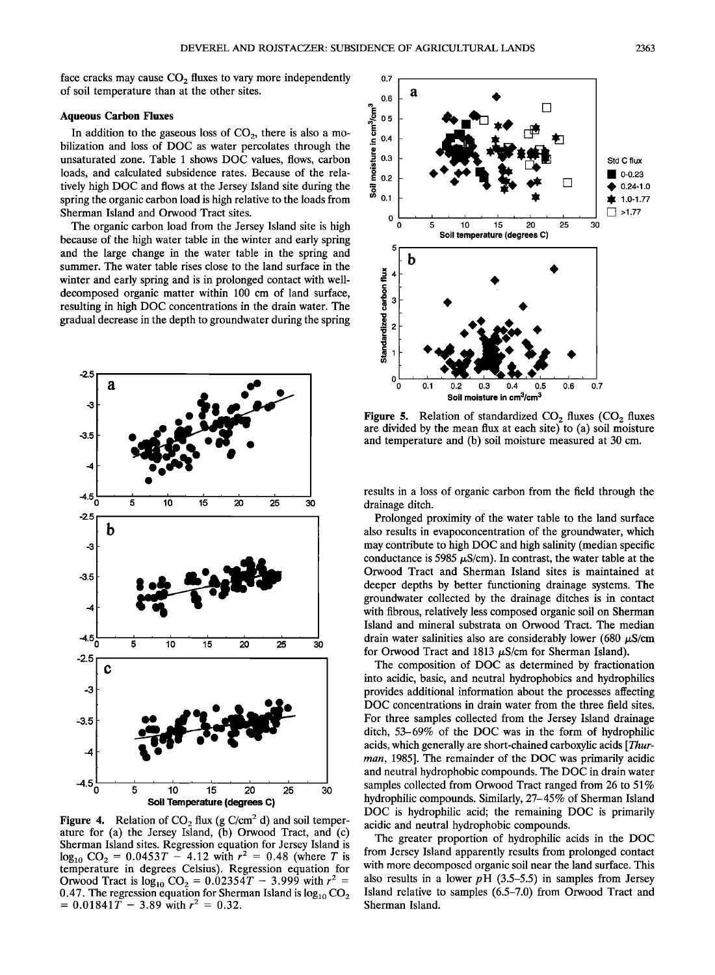face cracks may cause CO<sub>2</sub> fluxes to vary more independently **of soil temperature than at the other sites.** 

### **Aqueous Carbon Fluxes**

In addition to the gaseous loss of CO<sub>2</sub>, there is also a mo**bilization and loss of DOC as water percolates through the unsaturated zone. Table 1 shows DOC values, flows, carbon loads, and calculated subsidence rates. Because of the relatively high DOC and flows at the Jersey Island site during the spring the organic carbon load is high relative to the loads from Sherman Island and Orwood Tract sites.** 

**The organic carbon load from the Jersey Island site is high because of the high water table in the winter and early spring and the large change in the water table in the spring and summer. The water table rises close to the land surface in the winter and early spring and is in prolonged contact with welldecomposed organic matter within 100 cm of land surface, resulting in high DOC concentrations in the drain water. The gradual decrease in the depth to groundwater during the spring** 



**Figure 4.** Relation of  $CO_2$  flux (g  $C/cm^2$  d) and soil temper**ature for (a) the Jersey Island, (b) Orwood Tract, and (c) Sherman Island sites. Regression equation for Jersey Island is**   $log_{10} CO_2 = 0.0453T - 4.12$  with  $r^2 = 0.48$  (where T is **temperature in degrees Celsius). Regression equation for**  Orwood Tract is  $log_{10} CO_2 = 0.0235\overline{4}T - 3.999$  with  $r^2 =$ 0.47. The regression equation for Sherman Island is  $log_{10}CO<sub>2</sub>$  $= 0.01841\overline{T} - 3.89$  with  $r^2 = 0.32$ .



**Figure 5.** Relation of standardized CO<sub>2</sub> fluxes (CO<sub>2</sub> fluxes **are divided by the mean flux at each site) to (a) soil moisture and temperature and (b) soil moisture measured at 30 cm.** 

**results in a loss of organic carbon from the field through the drainage ditch.** 

**Prolonged proximity of the water table to the land surface also results in evapoconcentration of the groundwater, which may contribute to high DOC and high salinity (median specific**  conductance is 5985  $\mu$ S/cm). In contrast, the water table at the **Orwood Tract and Sherman Island sites is maintained at deeper depths by better functioning drainage systems. The groundwater collected by the drainage ditches is in contact with fibrous, relatively less composed organic soil on Sherman Island and mineral substrata on Orwood Tract. The median**  drain water salinities also are considerably lower (680  $\mu$ S/cm for Orwood Tract and 1813  $\mu$ S/cm for Sherman Island).

**The composition of DOC as determined by fractionation into acidic, basic, and neutral hydrophobics and hydrophilics provides additional information about the processes affecting DOC concentrations in drain water from the three field sites. For three samples collected from the Jersey Island drainage ditch, 53-69% of the DOC was in the form of hydrophilic acids, which generally are short-chained carboxylic acids [Thurman, 1985]. The remainder of the DOC was primarily acidic and neutral hydrophobic compounds. The DOC in drain water samples collected from Orwood Tract ranged from 26 to 51% hydrophilic compounds. Similarly, 27-45% of Sherman Island DOC is hydrophilic acid; the remaining DOC is primarily acidic and neutral hydrophobic compounds.** 

**The greater proportion of hydrophilic acids in the DOC from Jersey Island apparently results from prolonged contact with more decomposed organic soil near the land surface. This**  also results in a lower  $pH$  (3.5–5.5) in samples from Jersey **Island relative to samples (6.5-7.0) from Orwood Tract and Sherman Island.**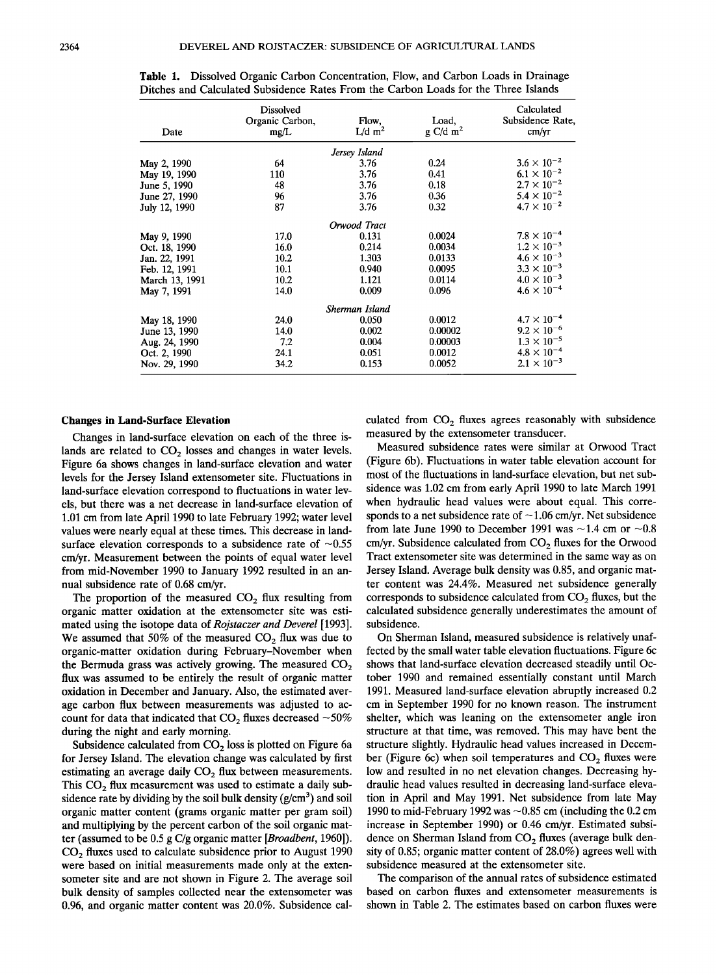| Date           | Dissolved<br>Organic Carbon,<br>mg/L | Flow,<br>$L/d$ m <sup>2</sup> | Load,<br>$g \text{ C/d } \text{m}^2$ | Calculated<br>Subsidence Rate,<br>cm/yr |
|----------------|--------------------------------------|-------------------------------|--------------------------------------|-----------------------------------------|
|                |                                      | Jersey Island                 |                                      |                                         |
| May 2, 1990    | 64                                   | 3.76                          | 0.24                                 | $3.6 \times 10^{-2}$                    |
| May 19, 1990   | 110                                  | 3.76                          | 0.41                                 | $6.1 \times 10^{-2}$                    |
| June 5, 1990   | 48                                   | 3.76                          | 0.18                                 | $2.7 \times 10^{-2}$                    |
| June 27, 1990  | 96                                   | 3.76                          | 0.36                                 | $5.4 \times 10^{-2}$                    |
| July 12, 1990  | 87                                   | 3.76                          | 0.32                                 | $4.7 \times 10^{-2}$                    |
|                |                                      | Orwood Tract                  |                                      |                                         |
| May 9, 1990    | 17.0                                 | 0.131                         | 0.0024                               | $7.8 \times 10^{-4}$                    |
| Oct. 18, 1990  | 16.0                                 | 0.214                         | 0.0034                               | $1.2\times10^{-3}$                      |
| Jan. 22, 1991  | 10.2                                 | 1.303                         | 0.0133                               | $4.6 \times 10^{-3}$                    |
| Feb. 12, 1991  | 10.1                                 | 0.940                         | 0.0095                               | $3.3\times10^{-3}$                      |
| March 13, 1991 | 10.2                                 | 1.121                         | 0.0114                               | $4.0 \times 10^{-3}$                    |
| May 7, 1991    | 14.0                                 | 0.009                         | 0.096                                | $4.6\times10^{-4}$                      |
|                |                                      | Sherman Island                |                                      |                                         |
| May 18, 1990   | 24.0                                 | 0.050                         | 0.0012                               | $4.7 \times 10^{-4}$                    |
| June 13, 1990  | 14.0                                 | 0.002                         | 0.00002                              | $9.2\times10^{-6}$                      |
| Aug. 24, 1990  | 7.2                                  | 0.004                         | 0.00003                              | $1.3 \times 10^{-5}$                    |
| Oct. 2, 1990   | 24.1                                 | 0.051                         | 0.0012                               | $4.8\times10^{-4}$                      |
| Nov. 29, 1990  | 34.2                                 | 0.153                         | 0.0052                               | $2.1 \times 10^{-3}$                    |

**Table 1. Dissolved Organic Carbon Concentration, Flow, and Carbon Loads in Drainage Ditches and Calculated Subsidence Rates From the Carbon Loads for the Three Islands** 

#### **Changes in Land-Surface Elevation**

**Changes in land-surface elevation on each of the three is**lands are related to CO<sub>2</sub> losses and changes in water levels. **Figure 6a shows changes in land-surface elevation and water levels for the Jersey Island extensometer site. Fluctuations in land-surface elevation correspond to fluctuations in water levels, but there was a net decrease in land-surface elevation of 1.01 cm from late April 1990 to late February 1992; water level values were nearly equal at these times. This decrease in land**surface elevation corresponds to a subsidence rate of  $\sim 0.55$ **cm/yr. Measurement between the points of equal water level from mid-November 1990 to January 1992 resulted in an annual subsidence rate of 0.68 cm/yr.** 

The proportion of the measured CO<sub>2</sub> flux resulting from **organic matter oxidation at the extensometer site was estimated using the isotope data of Rojstaczer and Deverel [1993].**  We assumed that 50% of the measured CO<sub>2</sub> flux was due to **organic-matter oxidation during February-November when**  the Bermuda grass was actively growing. The measured CO<sub>2</sub> **flux was assumed to be entirely the result of organic matter oxidation in December and January. Also, the estimated average carbon flux between measurements was adjusted to ac**count for data that indicated that  $CO<sub>2</sub>$  fluxes decreased  $\sim$ 50% **during the night and early morning.** 

Subsidence calculated from CO<sub>2</sub> loss is plotted on Figure 6a **for Jersey Island. The elevation change was calculated by first**  estimating an average daily CO<sub>2</sub> flux between measurements. This CO<sub>2</sub> flux measurement was used to estimate a daily sub**sidence rate by dividing by the soil bulk density (g/cm 3) and soil organic matter content (grams organic matter per gram soil) and multiplying by the percent carbon of the soil organic matter (assumed to be 0.5 g C/g organic matter [Broadbent, 1960]). CO2 fluxes used to calculate subsidence prior to August 1990 were based on initial measurements made only at the extensometer site and are not shown in Figure 2. The average soil bulk density of samples collected near the extensometer was 0.96, and organic matter content was 20.0%. Subsidence cal-** culated from CO<sub>2</sub> fluxes agrees reasonably with subsidence **measured by the extensometer transducer.** 

**Measured subsidence rates were similar at Orwood Tract (Figure 6b). Fluctuations in water table elevation account for most of the fluctuations in land-surface elevation, but net subsidence was 1.02 cm from early April 1990 to late March 1991 when hydraulic head values were about equal. This corre**sponds to a net subsidence rate of  $\sim$  1.06 cm/yr. Net subsidence from late June 1990 to December 1991 was  $\sim$ 1.4 cm or  $\sim$ 0.8 cm/yr. Subsidence calculated from CO<sub>2</sub> fluxes for the Orwood **Tract extensometer site was determined in the same way as on Jersey Island. Average bulk density was 0.85, and organic matter content was 24.4%. Measured net subsidence generally**  corresponds to subsidence calculated from CO<sub>2</sub> fluxes, but the **calculated subsidence generally underestimates the amount of subsidence.** 

**On Sherman Island, measured subsidence is relatively unaffected by the small water table elevation fluctuations. Figure 6c shows that land-surface elevation decreased steadily until October 1990 and remained essentially constant until March 1991. Measured land-surface elevation abruptly increased 0.2 cm in September 1990 for no known reason. The instrument shelter, which was leaning on the extensometer angle iron structure at that time, was removed. This may have bent the structure slightly. Hydraulic head values increased in Decem**ber (Figure 6c) when soil temperatures and CO<sub>2</sub> fluxes were **low and resulted in no net elevation changes. Decreasing hydraulic head values resulted in decreasing land-surface elevation in April and May 1991. Net subsidence from late May 1990 to mid-February 1992 was -0.85 cm (including the 0.2 cm increase in September 1990) or 0.46 cm/yr. Estimated subsi**dence on Sherman Island from CO<sub>2</sub> fluxes (average bulk den**sity of 0.85; organic matter content of 28.0%) agrees well with subsidence measured at the extensometer site.** 

**The comparison of the annual rates of subsidence estimated based on carbon fluxes and extensometer measurements is shown in Table 2. The estimates based on carbon fluxes were**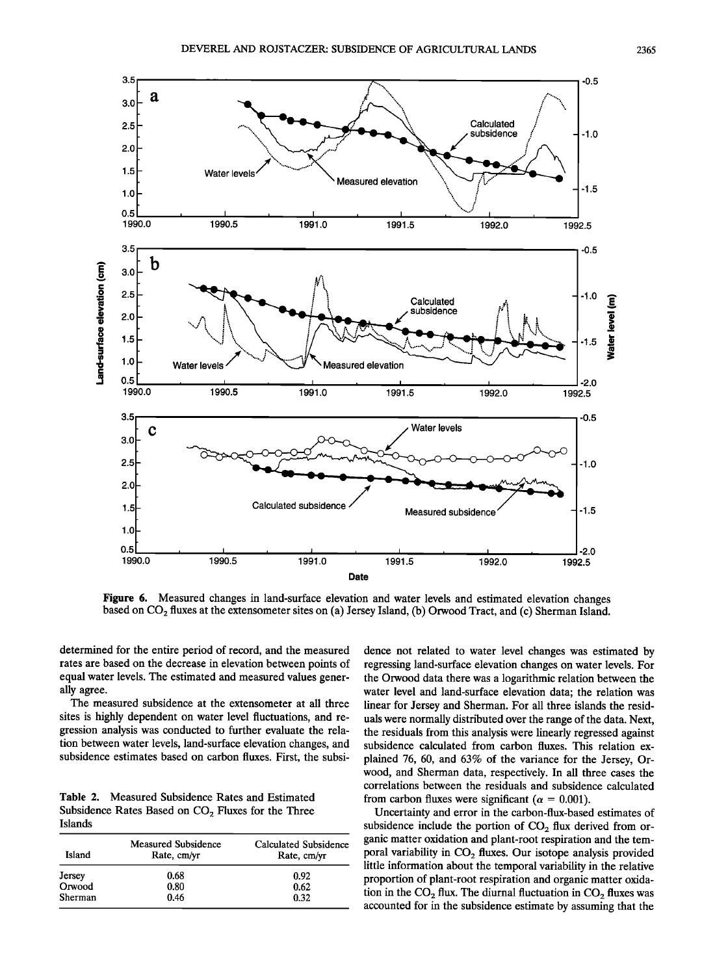

**Figure 6. Measured changes in land-surface elevation and water levels and estimated elevation changes**  based on CO<sub>2</sub> fluxes at the extensometer sites on (a) Jersey Island, (b) Orwood Tract, and (c) Sherman Island.

**determined for the entire period of record, and the measured rates are based on the decrease in elevation between points of equal water levels. The estimated and measured values generally agree.** 

**The measured subsidence at the extensometer at all three sites is highly dependent on water level fluctuations, and regression analysis was conducted to further evaluate the rela**tion between water levels, land-surface elevation changes, and **subsidence estimates based on carbon fluxes. First, the subsi-**

**Table 2. Measured Subsidence Rates and Estimated**  Subsidence Rates Based on CO<sub>2</sub> Fluxes for the Three **Islands** 

| Island           | <b>Measured Subsidence</b><br>Rate, cm/yr | <b>Calculated Subsidence</b><br>Rate, cm/yr |
|------------------|-------------------------------------------|---------------------------------------------|
|                  | 0.68                                      | 0.92                                        |
| Jersey<br>Orwood | 0.80                                      | 0.62                                        |
| Sherman          | 0.46                                      | 0.32                                        |

**dence not related to water level changes was estimated by regressing land-surface elevation changes on water levels. For the Orwood data there was a logarithmic relation between the water level and land-surface elevation data; the relation was linear for Jersey and Sherman. For all three islands the residuals were normally distributed over the range of the data. Next, the residuals from this analysis were linearly regressed against subsidence calculated from carbon fluxes. This relation explained 76, 60, and 63% of the variance for the Jersey, Orwood, and Sherman data, respectively. In all three cases the correlations between the residuals and subsidence calculated**  from carbon fluxes were significant ( $\alpha = 0.001$ ).

**Uncertainty and error in the carbon-flux-based estimates of**  subsidence include the portion of CO<sub>2</sub> flux derived from or**ganic matter oxidation and plant-root respiration and the tem**poral variability in CO<sub>2</sub> fluxes. Our isotope analysis provided **little information about the temporal variability in the relative proportion of plant-root respiration and organic matter oxida**tion in the  $CO<sub>2</sub>$  flux. The diurnal fluctuation in  $CO<sub>2</sub>$  fluxes was **accounted for in the subsidence estimate by assuming that the**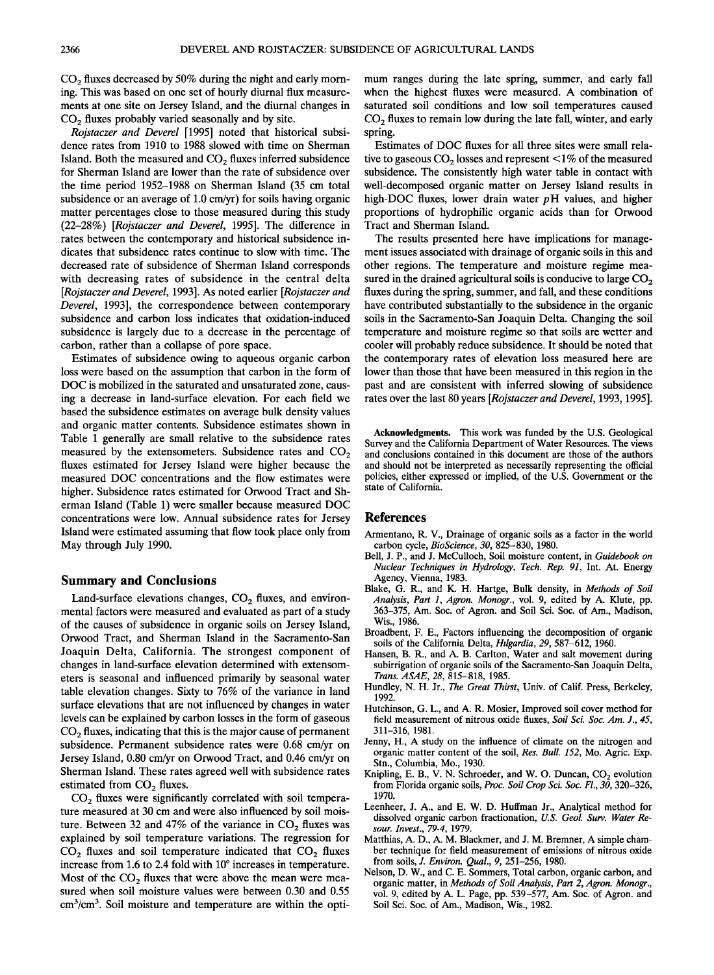CO<sub>2</sub> fluxes decreased by 50% during the night and early morn**ing. This was based on one set of hourly diurnal flux measurements at one site on Jersey Island, and the diurnal changes in**  CO<sub>2</sub> fluxes probably varied seasonally and by site.

**Rojstaczer and Deverel [1995] noted that historical subsidence rates from 1910 to 1988 slowed with time on Sherman**  Island. Both the measured and CO<sub>2</sub> fluxes inferred subsidence **for Sherman Island are lower than the rate of subsidence over the time period 1952-1988 on Sherman Island (35 cm total subsidence or an average of 1.0 cm/yr) for soils having organic matter percentages close to those measured during this study (22-28%) [Rojstaczer and Deverel, 1995]. The difference in rates between the contemporary and historical subsidence indicates that subsidence rates continue to slow with time. The decreased rate of subsidence of Sherman Island corresponds with decreasing rates of subsidence in the central delta [Rojstaczer and Deverel, 1993]. As noted earlier [Rojstaczer and Deverel, 1993], the correspondence between contemporary subsidence and carbon loss indicates that oxidation-induced subsidence is largely due to a decrease in the percentage of carbon, rather than a collapse of pore space.** 

**Estimates of subsidence owing to aqueous organic carbon loss were based on the assumption that carbon in the form of DOC is mobilized in the saturated and unsaturated zone, causing a decrease in land-surface elevation. For each field we**  based the subsidence estimates on average bulk density values and organic matter contents. Subsidence estimates shown in **Table 1 generally are small relative to the subsidence rates**  measured by the extensometers. Subsidence rates and CO<sub>2</sub> **fluxes estimated for Jersey Island were higher because the measured DOC concentrations and the flow estimates were higher. Subsidence rates estimated for Orwood Tract and Sherman Island (Table 1) were smaller because measured DOC concentrations were low. Annual subsidence rates for Jersey Island were estimated assuming that flow took place only from May through July 1990.** 

### **Summary and Conclusions**

Land-surface elevations changes, CO<sub>2</sub> fluxes, and environ**mental factors were measured and evaluated as part of a study of the causes of subsidence in organic soils on Jersey Island, Orwood Tract, and Sherman Island in the Sacramento-San Joaquin Delta, California. The strongest component of changes in land-surface elevation determined with extensometers is seasonal and influenced primarily by seasonal water table elevation changes. Sixty to 76% of the variance in land surface elevations that are not influenced by changes in water levels can be explained by carbon losses in the form of gaseous CO2 fluxes, indicating that this is the major cause of permanent subsidence. Permanent subsidence rates were 0.68 cm/yr on Jersey Island, 0.80 cm/yr on Orwood Tract, and 0.46 cm/yr on Sherman Island. These rates agreed well with subsidence rates**  estimated from CO<sub>2</sub> fluxes.

CO<sub>2</sub> fluxes were significantly correlated with soil tempera**ture measured at 30 cm and were also influenced by soil mois**ture. Between 32 and 47% of the variance in  $CO<sub>2</sub>$  fluxes was **explained by soil temperature variations. The regression for**  CO<sub>2</sub> fluxes and soil temperature indicated that CO<sub>2</sub> fluxes increase from 1.6 to 2.4 fold with 10° increases in temperature. Most of the CO<sub>2</sub> fluxes that were above the mean were mea**sured when soil moisture values were between 0.30 and 0.55**  cm<sup>3</sup>/cm<sup>3</sup>. Soil moisture and temperature are within the opti-

**mum ranges during the late spring, summer, and early fall when the highest fluxes were measured. A combination of saturated soil conditions and low soil temperatures caused**  CO<sub>2</sub> fluxes to remain low during the late fall, winter, and early **spring.** 

**Estimates of DOC fluxes for all three sites were small rela**tive to gaseous  $CO<sub>2</sub>$  losses and represent  $\leq 1\%$  of the measured **subsidence. The consistently high water table in contact with well-decomposed organic matter on Jersey Island results in**  high-DOC fluxes, lower drain water pH values, and higher **proportions of hydrophilic organic acids than for Orwood Tract and Sherman Island.** 

**The results presented here have implications for management issues associated with drainage of organic soils in this and other regions. The temperature and moisture regime mea**sured in the drained agricultural soils is conducive to large CO<sub>2</sub> **fluxes during the spring, summer, and fall, and these conditions have contributed substantially to the subsidence in the organic soils in the Sacramento-San Joaquin Delta. Changing the soil temperature and moisture regime so that soils are wetter and cooler will probably reduce subsidence. It should be noted that the contemporary rates of elevation loss measured here are lower than those that have been measured in this region in the past and are consistent with inferred slowing of subsidence rates over the last 80 years [Rojstaczer and Deverel, 1993, 1995].** 

**Acknowledgments. This work was funded by the U.S. Geological Survey and the California Department of Water Resources. The views and conclusions contained in this document are those of the authors and should not be interpreted as necessarily representing the official policies, either expressed or implied, of the U.S. Government or the state of California.** 

### **References**

- **Armentano, R. V., Drainage of organic soils as a factor in the world carbon cycle, BioScience, 30, 825-830, 1980.**
- **Bell, J.P., and J. McCulloch, Soil moisture content, in Guidebook on Nuclear Techniques in Hydrology, Tech. Rep. 91, Int. At. Energy Agency, Vienna, 1983.**
- **Blake, G. R., and K. H. Hartge, Bulk density, in Methods of Soil Analysis, Part 1, Agron. Monogr., vol. 9, edited by A. Klute, pp. 363-375, Am. Soc. of Agron. and Soil Sci. Soc. of Am., Madison, Wis., 1986.**
- **Broadbent, F. E., Factors influencing the decomposition of organic soils of the California Delta, Hilgardia, 29, 587-612, 1960.**
- **Hansen, B. R., and A. B. Carlton, Water and salt movement during subirrigation of organic soils of the Sacramento-San Joaquin Delta, Trans. ASAE, 28, 815-818, 1985.**
- **Hundley, N.H. Jr., The Great Thirst, Univ. of Calif. Press, Berkeley, 1992.**
- **Hutchinson, G. L., and A. R. Mosier, Improved soil cover method for field measurement of nitrous oxide fluxes, Soil Sci. Soc. Am. J., 45, 311-316, 1981.**
- **Jenny, H., A study on the influence of climate on the nitrogen and organic matter content of the soil, Res. Bull. 152, Mo. Agric. Exp. Stn., Columbia, Mo., 1930.**
- Knipling, E. B., V. N. Schroeder, and W. O. Duncan, CO<sub>2</sub> evolution **from Florida organic soils, Proc. Soil Crop Sci. Soc. Fl., 30, 320-326, 1970.**
- **Leenheer, J. A., and E. W. D. Huffman Jr., Analytical method for dissolved organic carbon fractionation, U.S. Geol. Surv. Water Resour. Invest., 79-4, 1979.**
- **Matthias, A.D., A.M. Blackmer, and J. M. Bremner, A simple chamber technique for field measurement of emissions of nitrous oxide from soils, J. Environ. Qual., 9, 251-256, 1980.**
- **Nelson, D. W., and C. E. Sommers, Total carbon, organic carbon, and organic matter, in Methods of Soil Analysis, Part 2, Agron. Monogr., vol. 9, edited by A. L. Page, pp. 539-577, Am. Soc. of Agron. and Soil Sci. Soc. of Am., Madison, Wis., 1982.**